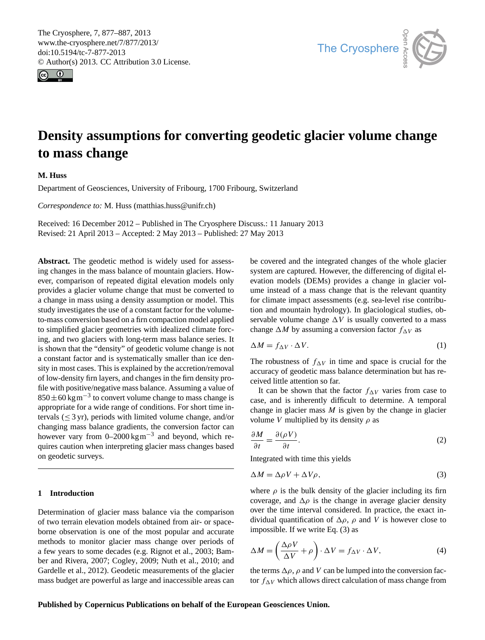<span id="page-0-2"></span>The Cryosphere, 7, 877–887, 2013 www.the-cryosphere.net/7/877/2013/ doi:10.5194/tc-7-877-2013 © Author(s) 2013. CC Attribution 3.0 License.





# **Density assumptions for converting geodetic glacier volume change to mass change**

**M. Huss**

Department of Geosciences, University of Fribourg, 1700 Fribourg, Switzerland

*Correspondence to:* M. Huss (matthias.huss@unifr.ch)

Received: 16 December 2012 – Published in The Cryosphere Discuss.: 11 January 2013 Revised: 21 April 2013 – Accepted: 2 May 2013 – Published: 27 May 2013

**Abstract.** The geodetic method is widely used for assessing changes in the mass balance of mountain glaciers. However, comparison of repeated digital elevation models only provides a glacier volume change that must be converted to a change in mass using a density assumption or model. This study investigates the use of a constant factor for the volumeto-mass conversion based on a firn compaction model applied to simplified glacier geometries with idealized climate forcing, and two glaciers with long-term mass balance series. It is shown that the "density" of geodetic volume change is not a constant factor and is systematically smaller than ice density in most cases. This is explained by the accretion/removal of low-density firn layers, and changes in the firn density profile with positive/negative mass balance. Assuming a value of  $850 \pm 60$  kg m<sup>-3</sup> to convert volume change to mass change is appropriate for a wide range of conditions. For short time intervals  $(\leq 3 \text{ yr})$ , periods with limited volume change, and/or changing mass balance gradients, the conversion factor can however vary from  $0-2000 \text{ kg m}^{-3}$  and beyond, which requires caution when interpreting glacier mass changes based on geodetic surveys.

# **1 Introduction**

Determination of glacier mass balance via the comparison of two terrain elevation models obtained from air- or spaceborne observation is one of the most popular and accurate methods to monitor glacier mass change over periods of a few years to some decades (e.g. [Rignot et al.,](#page-10-0) [2003;](#page-10-0) [Bam](#page-9-0)[ber and Rivera,](#page-9-0) [2007;](#page-9-0) [Cogley,](#page-9-1) [2009;](#page-9-1) [Nuth et al.,](#page-10-1) [2010;](#page-10-1) and [Gardelle et al.,](#page-9-2) [2012\)](#page-9-2). Geodetic measurements of the glacier mass budget are powerful as large and inaccessible areas can be covered and the integrated changes of the whole glacier system are captured. However, the differencing of digital elevation models (DEMs) provides a change in glacier volume instead of a mass change that is the relevant quantity for climate impact assessments (e.g. sea-level rise contribution and mountain hydrology). In glaciological studies, observable volume change  $\Delta V$  is usually converted to a mass change  $\Delta M$  by assuming a conversion factor  $f_{\Delta V}$  as

<span id="page-0-1"></span>
$$
\Delta M = f_{\Delta V} \cdot \Delta V. \tag{1}
$$

The robustness of  $f_{\Delta V}$  in time and space is crucial for the accuracy of geodetic mass balance determination but has received little attention so far.

It can be shown that the factor  $f_{\Delta V}$  varies from case to case, and is inherently difficult to determine. A temporal change in glacier mass  $M$  is given by the change in glacier volume V multiplied by its density  $\rho$  as

$$
\frac{\partial M}{\partial t} = \frac{\partial (\rho V)}{\partial t}.
$$
 (2)

Integrated with time this yields

<span id="page-0-0"></span>
$$
\Delta M = \Delta \rho V + \Delta V \rho, \tag{3}
$$

where  $\rho$  is the bulk density of the glacier including its firn coverage, and  $\Delta \rho$  is the change in average glacier density over the time interval considered. In practice, the exact individual quantification of  $\Delta \rho$ ,  $\rho$  and V is however close to impossible. If we write Eq. [\(3\)](#page-0-0) as

<span id="page-0-3"></span>
$$
\Delta M = \left(\frac{\Delta \rho V}{\Delta V} + \rho\right) \cdot \Delta V = f_{\Delta V} \cdot \Delta V,\tag{4}
$$

the terms  $\Delta \rho$ ,  $\rho$  and V can be lumped into the conversion factor  $f_{\Delta V}$  which allows direct calculation of mass change from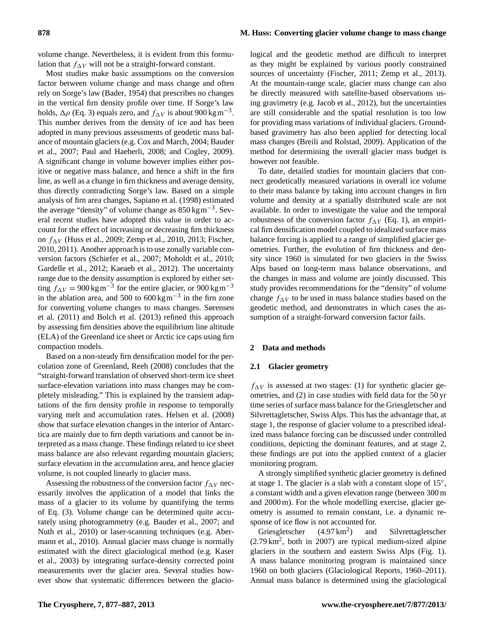volume change. Nevertheless, it is evident from this formulation that  $f_{\Delta V}$  will not be a straight-forward constant.

Most studies make basic assumptions on the conversion factor between volume change and mass change and often rely on Sorge's law [\(Bader,](#page-9-3) [1954\)](#page-9-3) that prescribes no changes in the vertical firn density profile over time. If Sorge's law holds,  $\Delta \rho$  (Eq. [3\)](#page-0-0) equals zero, and  $f_{\Delta V}$  is about 900 kg m<sup>-3</sup>. This number derives from the density of ice and has been adopted in many previous assessments of geodetic mass balance of mountain glaciers (e.g. [Cox and March,](#page-9-4) [2004;](#page-9-4) [Bauder](#page-9-5) [et al.,](#page-9-5) [2007;](#page-9-5) [Paul and Haeberli,](#page-10-2) [2008;](#page-10-2) and [Cogley,](#page-9-1) [2009\)](#page-9-1). A significant change in volume however implies either positive or negative mass balance, and hence a shift in the firn line, as well as a change in firn thickness and average density, thus directly contradicting Sorge's law. Based on a simple analysis of firn area changes, [Sapiano et al.](#page-10-3) [\(1998\)](#page-10-3) estimated the average "density" of volume change as  $850 \text{ kg m}^{-3}$ . Several recent studies have adopted this value in order to account for the effect of increasing or decreasing firn thickness on  $f_{\Delta V}$  [\(Huss et al.,](#page-10-4) [2009;](#page-10-4) [Zemp et al.,](#page-10-5) [2010,](#page-10-5) [2013;](#page-10-6) [Fischer,](#page-9-6) [2010,](#page-9-6) [2011\)](#page-9-7). Another approach is to use zonally variable conversion factors [\(Schiefer et al.,](#page-10-7) [2007;](#page-10-7) [Moholdt et al.,](#page-10-8) [2010;](#page-10-8) [Gardelle et al.,](#page-9-2) [2012;](#page-9-2) [Kaeaeb et al.,](#page-10-9) [2012\)](#page-10-9). The uncertainty range due to the density assumption is explored by either setting  $f_{\Delta V} = 900 \text{ kg m}^{-3}$  for the entire glacier, or  $900 \text{ kg m}^{-3}$ in the ablation area, and 500 to  $600 \text{ kg m}^{-3}$  in the firn zone for converting volume changes to mass changes. [Sørensen](#page-10-10) [et al.](#page-10-10) [\(2011\)](#page-10-10) and [Bolch et al.](#page-9-8) [\(2013\)](#page-9-8) refined this approach by assessing firn densities above the equilibrium line altitude (ELA) of the Greenland ice sheet or Arctic ice caps using firn compaction models.

Based on a non-steady firn densification model for the percolation zone of Greenland, [Reeh](#page-10-11) [\(2008\)](#page-10-11) concludes that the "straight-forward translation of observed short-term ice sheet surface-elevation variations into mass changes may be completely misleading." This is explained by the transient adaptations of the firn density profile in response to temporally varying melt and accumulation rates. [Helsen et al.](#page-9-9) [\(2008\)](#page-9-9) show that surface elevation changes in the interior of Antarctica are mainly due to firn depth variations and cannot be interpreted as a mass change. These findings related to ice sheet mass balance are also relevant regarding mountain glaciers; surface elevation in the accumulation area, and hence glacier volume, is not coupled linearly to glacier mass.

Assessing the robustness of the conversion factor  $f_{\Delta V}$  necessarily involves the application of a model that links the mass of a glacier to its volume by quantifying the terms of Eq. [\(3\)](#page-0-0). Volume change can be determined quite accurately using photogrammetry (e.g. [Bauder et al.,](#page-9-5) [2007;](#page-9-5) and [Nuth et al.,](#page-10-1) [2010\)](#page-10-1) or laser-scanning techniques (e.g. [Aber](#page-9-10)[mann et al.,](#page-9-10) [2010\)](#page-9-10). Annual glacier mass change is normally estimated with the direct glaciological method (e.g. [Kaser](#page-10-12) [et al.,](#page-10-12) [2003\)](#page-10-12) by integrating surface-density corrected point measurements over the glacier area. Several studies however show that systematic differences between the glaciological and the geodetic method are difficult to interpret as they might be explained by various poorly constrained sources of uncertainty [\(Fischer,](#page-9-7) [2011;](#page-9-7) [Zemp et al.,](#page-10-6) [2013\)](#page-10-6). At the mountain-range scale, glacier mass change can also be directly measured with satellite-based observations using gravimetry (e.g. [Jacob et al.,](#page-10-13) [2012\)](#page-10-13), but the uncertainties are still considerable and the spatial resolution is too low for providing mass variations of individual glaciers. Groundbased gravimetry has also been applied for detecting local mass changes [\(Breili and Rolstad,](#page-9-11) [2009\)](#page-9-11). Application of the method for determining the overall glacier mass budget is however not feasible.

To date, detailed studies for mountain glaciers that connect geodetically measured variations in overall ice volume to their mass balance by taking into account changes in firn volume and density at a spatially distributed scale are not available. In order to investigate the value and the temporal robustness of the conversion factor  $f_{\Delta V}$  (Eq. [1\)](#page-0-1), an empirical firn densification model coupled to idealized surface mass balance forcing is applied to a range of simplified glacier geometries. Further, the evolution of firn thickness and density since 1960 is simulated for two glaciers in the Swiss Alps based on long-term mass balance observations, and the changes in mass and volume are jointly discussed. This study provides recommendations for the "density" of volume change  $f_{\Delta V}$  to be used in mass balance studies based on the geodetic method, and demonstrates in which cases the assumption of a straight-forward conversion factor fails.

### **2 Data and methods**

#### **2.1 Glacier geometry**

 $f_{\Delta V}$  is assessed at two stages: (1) for synthetic glacier geometries, and (2) in case studies with field data for the 50 yr time series of surface mass balance for the Griesgletscher and Silvrettagletscher, Swiss Alps. This has the advantage that, at stage 1, the response of glacier volume to a prescribed idealized mass balance forcing can be discussed under controlled conditions, depicting the dominant features, and at stage 2, these findings are put into the applied context of a glacier monitoring program.

A strongly simplified synthetic glacier geometry is defined at stage 1. The glacier is a slab with a constant slope of 15◦ , a constant width and a given elevation range (between 300 m and 2000 m). For the whole modelling exercise, glacier geometry is assumed to remain constant, i.e. a dynamic response of ice flow is not accounted for.

Griesgletscher  $(4.97 \text{ km}^2)$ ) and Silvrettagletscher (2.79 km<sup>2</sup> , both in 2007) are typical medium-sized alpine glaciers in the southern and eastern Swiss Alps (Fig. [1\)](#page-2-0). A mass balance monitoring program is maintained since 1960 on both glaciers [\(Glaciological Reports,](#page-9-12) [1960–2011\)](#page-9-12). Annual mass balance is determined using the glaciological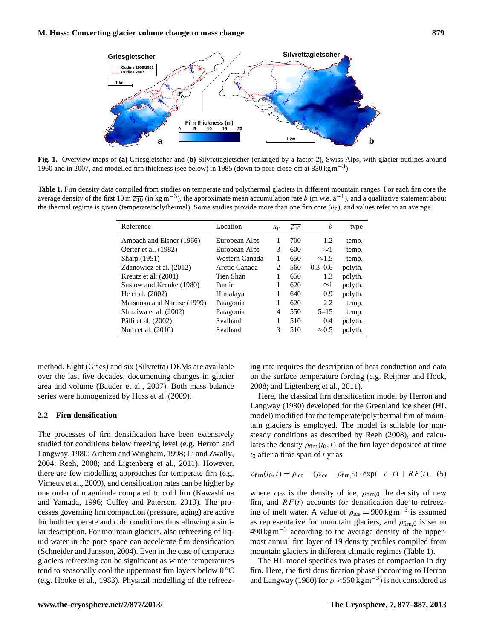

<span id="page-2-0"></span>**Fig. 1.** Overview maps of **(a)** Griesgletscher and **(b)** Silvrettagletscher (enlarged by a factor 2), Swiss Alps, with glacier outlines around 1960 and in 2007, and modelled firn thickness (see below) in 1985 (down to pore close-off at 830 kgm−<sup>3</sup> ).

<span id="page-2-1"></span>**Table 1.** Firn density data compiled from studies on temperate and polythermal glaciers in different mountain ranges. For each firn core the average density of the first  $10 \text{ m } \overline{\rho_{10}}$  (in kg m<sup>-3</sup>), the approximate mean accumulation rate b (m w.e. a<sup>-1</sup>), and a qualitative statement about the thermal regime is given (temperate/polythermal). Some studies provide more than one firn core  $(n_c)$ , and values refer to an average.

| Reference                  | Location       | $n_{\rm c}$    | $\overline{\rho_{10}}$ | h             | type    |
|----------------------------|----------------|----------------|------------------------|---------------|---------|
| Ambach and Eisner (1966)   | European Alps  |                | 700                    | 1.2           | temp.   |
| Oerter et al. (1982)       | European Alps  | 3              | 600                    | $\approx$ 1   | temp.   |
| Sharp (1951)               | Western Canada | 1              | 650                    | $\approx 1.5$ | temp.   |
| Zdanowicz et al. (2012)    | Arctic Canada  | $\mathfrak{D}$ | 560                    | $0.3 - 0.6$   | polyth. |
| Kreutz et al. (2001)       | Tien Shan      |                | 650                    | 1.3           | polyth. |
| Suslow and Krenke (1980)   | Pamir          | 1              | 620                    | $\approx$ 1   | polyth. |
| He et al. (2002)           | Himalaya       |                | 640                    | 0.9           | polyth. |
| Matsuoka and Naruse (1999) | Patagonia      |                | 620                    | 2.2           | temp.   |
| Shiraiwa et al. (2002)     | Patagonia      | 4              | 550                    | $5 - 15$      | temp.   |
| Pälli et al. (2002)        | Svalbard       |                | 510                    | 0.4           | polyth. |
| Nuth et al. (2010)         | Svalbard       | 3              | 510                    | $\approx 0.5$ | polyth. |
|                            |                |                |                        |               |         |

method. Eight (Gries) and six (Silvretta) DEMs are available over the last five decades, documenting changes in glacier area and volume [\(Bauder et al.,](#page-9-5) [2007\)](#page-9-5). Both mass balance series were homogenized by [Huss et al.](#page-10-4) [\(2009\)](#page-10-4).

#### **2.2 Firn densification**

The processes of firn densification have been extensively studied for conditions below freezing level (e.g. [Herron and](#page-9-13) [Langway,](#page-9-13) [1980;](#page-9-13) [Arthern and Wingham,](#page-9-14) [1998;](#page-9-14) [Li and Zwally,](#page-10-14) [2004;](#page-10-14) [Reeh,](#page-10-11) [2008;](#page-10-11) and [Ligtenberg et al.,](#page-10-15) [2011\)](#page-10-15). However, there are few modelling approaches for temperate firn (e.g. [Vimeux et al.,](#page-10-16) [2009\)](#page-10-16), and densification rates can be higher by one order of magnitude compared to cold firn [\(Kawashima](#page-10-17) [and Yamada,](#page-10-17) [1996;](#page-10-17) [Cuffey and Paterson,](#page-9-15) [2010\)](#page-9-15). The processes governing firn compaction (pressure, aging) are active for both temperate and cold conditions thus allowing a similar description. For mountain glaciers, also refreezing of liquid water in the pore space can accelerate firn densification [\(Schneider and Jansson,](#page-10-18) [2004\)](#page-10-18). Even in the case of temperate glaciers refreezing can be significant as winter temperatures tend to seasonally cool the uppermost firn layers below  $0^{\circ}$ C (e.g. [Hooke et al.,](#page-9-16) [1983\)](#page-9-16). Physical modelling of the refreezing rate requires the description of heat conduction and data on the surface temperature forcing (e.g. [Reijmer and Hock,](#page-10-19) [2008;](#page-10-19) and [Ligtenberg et al.,](#page-10-15) [2011\)](#page-10-15).

Here, the classical firn densification model by [Herron and](#page-9-13) [Langway](#page-9-13) [\(1980\)](#page-9-13) developed for the Greenland ice sheet (HL model) modified for the temperate/polythermal firn of mountain glaciers is employed. The model is suitable for nonsteady conditions as described by [Reeh](#page-10-11) [\(2008\)](#page-10-11), and calculates the density  $\rho_{\text{firm}}(t_0, t)$  of the firn layer deposited at time  $t_0$  after a time span of t yr as

<span id="page-2-2"></span>
$$
\rho_{\text{firm}}(t_0, t) = \rho_{\text{ice}} - (\rho_{\text{ice}} - \rho_{\text{firm},0}) \cdot \exp(-c \cdot t) + RF(t), \tag{5}
$$

where  $\rho_{\text{ice}}$  is the density of ice,  $\rho_{\text{firm,0}}$  the density of new firn, and  $RF(t)$  accounts for densification due to refreezing of melt water. A value of  $\rho_{\text{ice}} = 900 \text{ kg m}^{-3}$  is assumed as representative for mountain glaciers, and  $\rho_{\text{firm},0}$  is set to 490 kgm−<sup>3</sup> according to the average density of the uppermost annual firn layer of 19 density profiles compiled from mountain glaciers in different climatic regimes (Table [1\)](#page-2-1).

The HL model specifies two phases of compaction in dry firn. Here, the first densification phase (according to [Herron](#page-9-13) [and Langway](#page-9-13) [\(1980\)](#page-9-13) for  $\rho < 550$  kgm<sup>-3</sup>) is not considered as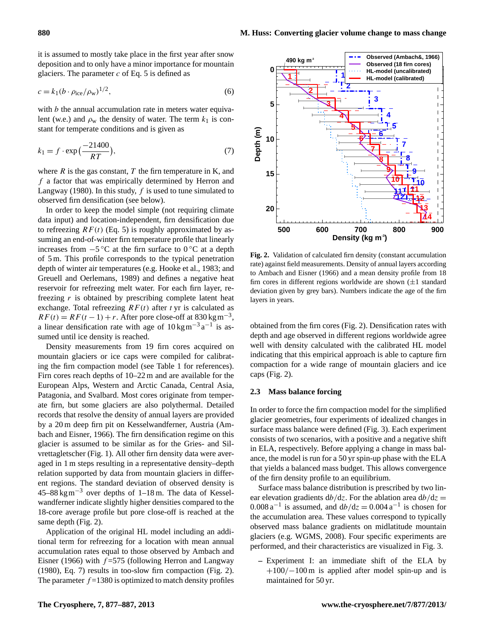it is assumed to mostly take place in the first year after snow deposition and to only have a minor importance for mountain glaciers. The parameter  $c$  of Eq. [5](#page-2-2) is defined as

$$
c = k_1 (b \cdot \rho_{\text{ice}} / \rho_{\text{w}})^{1/2},\tag{6}
$$

with  $b$  the annual accumulation rate in meters water equivalent (w.e.) and  $\rho_w$  the density of water. The term  $k_1$  is constant for temperate conditions and is given as

$$
k_1 = f \cdot \exp\left(\frac{-21400}{RT}\right),\tag{7}
$$

where  $R$  is the gas constant,  $T$  the firn temperature in K, and f a factor that was empirically determined by [Herron and](#page-9-13) [Langway](#page-9-13) [\(1980\)](#page-9-13). In this study,  $f$  is used to tune simulated to observed firn densification (see below).

In order to keep the model simple (not requiring climate data input) and location-independent, firn densification due to refreezing  $RF(t)$  (Eq. [5\)](#page-2-2) is roughly approximated by assuming an end-of-winter firn temperature profile that linearly increases from  $-5^\circ$ C at the firn surface to 0 °C at a depth of 5 m. This profile corresponds to the typical penetration depth of winter air temperatures (e.g. [Hooke et al.,](#page-9-16) [1983;](#page-9-16) and [Greuell and Oerlemans,](#page-9-17) [1989\)](#page-9-17) and defines a negative heat reservoir for refreezing melt water. For each firn layer, refreezing  $r$  is obtained by prescribing complete latent heat exchange. Total refreezing  $RF(t)$  after t yr is calculated as  $RF(t) = RF(t-1) + r$ . After pore close-off at 830 kgm<sup>-3</sup>, a linear densification rate with age of  $10 \text{ kg m}^{-3} \text{a}^{-1}$  is assumed until ice density is reached.

Density measurements from 19 firn cores acquired on mountain glaciers or ice caps were compiled for calibrating the firn compaction model (see Table [1](#page-2-1) for references). Firn cores reach depths of 10–22 m and are available for the European Alps, Western and Arctic Canada, Central Asia, Patagonia, and Svalbard. Most cores originate from temperate firn, but some glaciers are also polythermal. Detailed records that resolve the density of annual layers are provided by a 20 m deep firn pit on Kesselwandferner, Austria [\(Am](#page-9-18)[bach and Eisner,](#page-9-18) [1966\)](#page-9-18). The firn densification regime on this glacier is assumed to be similar as for the Gries- and Silvrettagletscher (Fig. [1\)](#page-2-0). All other firn density data were averaged in 1 m steps resulting in a representative density–depth relation supported by data from mountain glaciers in different regions. The standard deviation of observed density is  $45-88 \text{ kg m}^{-3}$  over depths of 1–18 m. The data of Kesselwandferner indicate slightly higher densities compared to the 18-core average profile but pore close-off is reached at the same depth (Fig. [2\)](#page-3-0).

Application of the original HL model including an additional term for refreezing for a location with mean annual accumulation rates equal to those observed by [Ambach and](#page-9-18) [Eisner](#page-9-18) [\(1966\)](#page-9-18) with  $f = 575$  (following [Herron and Langway](#page-9-13) [\(1980\)](#page-9-13), Eq. [7\)](#page-3-1) results in too-slow firn compaction (Fig. [2\)](#page-3-0). The parameter  $f = 1380$  is optimized to match density profiles

<span id="page-3-1"></span>

<span id="page-3-0"></span>**Fig. 2.** Validation of calculated firn density (constant accumulation rate) against field measurements. Density of annual layers according to [Ambach and Eisner](#page-9-18) [\(1966\)](#page-9-18) and a mean density profile from 18 firn cores in different regions worldwide are shown  $(\pm 1)$  standard deviation given by grey bars). Numbers indicate the age of the firn layers in years.

obtained from the firn cores (Fig. [2\)](#page-3-0). Densification rates with depth and age observed in different regions worldwide agree well with density calculated with the calibrated HL model indicating that this empirical approach is able to capture firn compaction for a wide range of mountain glaciers and ice caps (Fig. [2\)](#page-3-0).

#### **2.3 Mass balance forcing**

In order to force the firn compaction model for the simplified glacier geometries, four experiments of idealized changes in surface mass balance were defined (Fig. [3\)](#page-4-0). Each experiment consists of two scenarios, with a positive and a negative shift in ELA, respectively. Before applying a change in mass balance, the model is run for a 50 yr spin-up phase with the ELA that yields a balanced mass budget. This allows convergence of the firn density profile to an equilibrium.

Surface mass balance distribution is prescribed by two linear elevation gradients  $db/dz$ . For the ablation area  $db/dz =$ 0.008  $a^{-1}$  is assumed, and  $db/dz = 0.004 a^{-1}$  is chosen for the accumulation area. These values correspond to typically observed mass balance gradients on midlatitude mountain glaciers (e.g. [WGMS,](#page-10-20) [2008\)](#page-10-20). Four specific experiments are performed, and their characteristics are visualized in Fig. [3.](#page-4-0)

**–** Experiment I: an immediate shift of the ELA by +100/−100 m is applied after model spin-up and is maintained for 50 yr.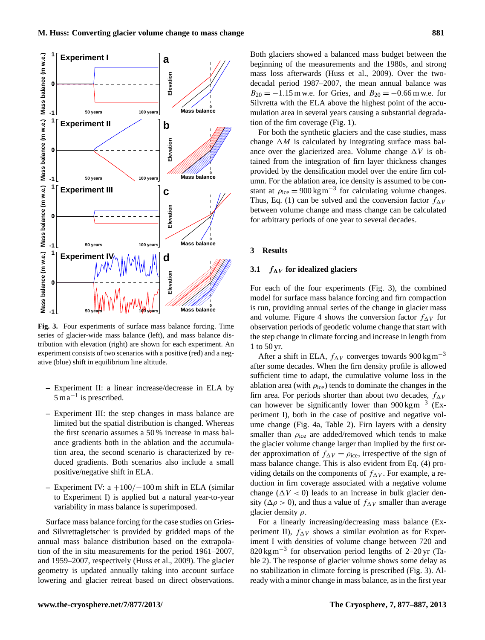

<span id="page-4-0"></span>**Fig. 3.** Four experiments of surface mass balance forcing. Time series of glacier-wide mass balance (left), and mass balance distribution with elevation (right) are shown for each experiment. An experiment consists of two scenarios with a positive (red) and a negative (blue) shift in equilibrium line altitude.

- **–** Experiment II: a linear increase/decrease in ELA by 5 ma−<sup>1</sup> is prescribed.
- **–** Experiment III: the step changes in mass balance are limited but the spatial distribution is changed. Whereas the first scenario assumes a 50 % increase in mass balance gradients both in the ablation and the accumulation area, the second scenario is characterized by reduced gradients. Both scenarios also include a small positive/negative shift in ELA.
- **–** Experiment IV: a +100/−100 m shift in ELA (similar to Experiment I) is applied but a natural year-to-year variability in mass balance is superimposed.

Surface mass balance forcing for the case studies on Griesand Silvrettagletscher is provided by gridded maps of the annual mass balance distribution based on the extrapolation of the in situ measurements for the period 1961–2007, and 1959–2007, respectively [\(Huss et al.,](#page-10-4) [2009\)](#page-10-4). The glacier geometry is updated annually taking into account surface lowering and glacier retreat based on direct observations. Both glaciers showed a balanced mass budget between the beginning of the measurements and the 1980s, and strong mass loss afterwards [\(Huss et al.,](#page-10-4) [2009\)](#page-10-4). Over the twodecadal period 1987–2007, the mean annual balance was  $\overline{B_{20}}$  = −1.15 m w.e. for Gries, and  $\overline{B_{20}}$  = −0.66 m w.e. for Silvretta with the ELA above the highest point of the accumulation area in several years causing a substantial degradation of the firn coverage (Fig. [1\)](#page-2-0).

For both the synthetic glaciers and the case studies, mass change  $\Delta M$  is calculated by integrating surface mass balance over the glacierized area. Volume change  $\Delta V$  is obtained from the integration of firn layer thickness changes provided by the densification model over the entire firn column. For the ablation area, ice density is assumed to be constant at  $\rho_{\text{ice}} = 900 \,\text{kg} \,\text{m}^{-3}$  for calculating volume changes. Thus, Eq. [\(1\)](#page-0-1) can be solved and the conversion factor  $f_{\Delta V}$ between volume change and mass change can be calculated for arbitrary periods of one year to several decades.

### **3 Results**

### **3.1**  $f_{\Delta V}$  for idealized glaciers

For each of the four experiments (Fig. [3\)](#page-4-0), the combined model for surface mass balance forcing and firn compaction is run, providing annual series of the change in glacier mass and volume. Figure [4](#page-5-0) shows the conversion factor  $f_{\Delta V}$  for observation periods of geodetic volume change that start with the step change in climate forcing and increase in length from 1 to 50 yr.

After a shift in ELA,  $f_{\Delta V}$  converges towards 900 kgm<sup>-3</sup> after some decades. When the firn density profile is allowed sufficient time to adapt, the cumulative volume loss in the ablation area (with  $\rho_{ice}$ ) tends to dominate the changes in the firn area. For periods shorter than about two decades,  $f_{\Delta V}$ can however be significantly lower than  $900 \text{ kg m}^{-3}$  (Experiment I), both in the case of positive and negative volume change (Fig. [4a](#page-5-0), Table [2\)](#page-6-0). Firn layers with a density smaller than  $\rho_{\text{ice}}$  are added/removed which tends to make the glacier volume change larger than implied by the first order approximation of  $f_{\Delta V} = \rho_{\text{ice}}$ , irrespective of the sign of mass balance change. This is also evident from Eq. [\(4\)](#page-0-3) providing details on the components of  $f_{\Delta V}$ . For example, a reduction in firn coverage associated with a negative volume change ( $\Delta V < 0$ ) leads to an increase in bulk glacier density ( $\Delta \rho > 0$ ), and thus a value of  $f_{\Delta V}$  smaller than average glacier density  $\rho$ .

For a linearly increasing/decreasing mass balance (Experiment II),  $f_{\Delta V}$  shows a similar evolution as for Experiment I with densities of volume change between 720 and 820 kgm−<sup>3</sup> for observation period lengths of 2–20 yr (Table [2\)](#page-6-0). The response of glacier volume shows some delay as no stabilization in climate forcing is prescribed (Fig. [3\)](#page-4-0). Already with a minor change in mass balance, as in the first year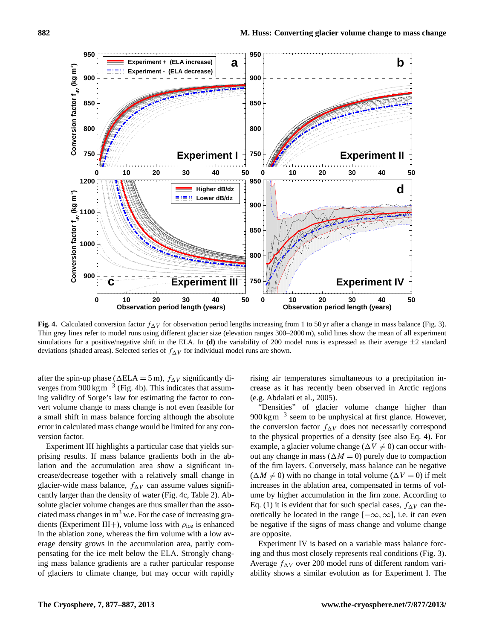

<span id="page-5-0"></span>**Fig. 4.** Calculated conversion factor  $f_{\Lambda V}$  for observation period lengths increasing from 1 to 50 yr after a change in mass balance (Fig. [3\)](#page-4-0). Thin grey lines refer to model runs using different glacier size (elevation ranges 300–2000 m), solid lines show the mean of all experiment simulations for a positive/negative shift in the ELA. In (d) the variability of 200 model runs is expressed as their average  $\pm 2$  standard deviations (shaded areas). Selected series of  $f_{\Delta V}$  for individual model runs are shown.

after the spin-up phase ( $\Delta ELA = 5$  m),  $f_{\Delta V}$  significantly diverges from  $900 \text{ kg m}^{-3}$  (Fig. [4b](#page-5-0)). This indicates that assuming validity of Sorge's law for estimating the factor to convert volume change to mass change is not even feasible for a small shift in mass balance forcing although the absolute error in calculated mass change would be limited for any conversion factor.

Experiment III highlights a particular case that yields surprising results. If mass balance gradients both in the ablation and the accumulation area show a significant increase/decrease together with a relatively small change in glacier-wide mass balance,  $f_{\Delta V}$  can assume values significantly larger than the density of water (Fig. [4c](#page-5-0), Table [2\)](#page-6-0). Absolute glacier volume changes are thus smaller than the associated mass changes in  $m<sup>3</sup>$  w.e. For the case of increasing gradients (Experiment III+), volume loss with  $\rho_{\text{ice}}$  is enhanced in the ablation zone, whereas the firn volume with a low average density grows in the accumulation area, partly compensating for the ice melt below the ELA. Strongly changing mass balance gradients are a rather particular response of glaciers to climate change, but may occur with rapidly rising air temperatures simultaneous to a precipitation increase as it has recently been observed in Arctic regions (e.g. [Abdalati et al.,](#page-9-19) [2005\)](#page-9-19).

"Densities" of glacier volume change higher than 900 kg m<sup>-3</sup> seem to be unphysical at first glance. However, the conversion factor  $f_{\Delta V}$  does not necessarily correspond to the physical properties of a density (see also Eq. [4\)](#page-0-3). For example, a glacier volume change ( $\Delta V \neq 0$ ) can occur without any change in mass ( $\Delta M = 0$ ) purely due to compaction of the firn layers. Conversely, mass balance can be negative  $(\Delta M \neq 0)$  with no change in total volume  $(\Delta V = 0)$  if melt increases in the ablation area, compensated in terms of volume by higher accumulation in the firn zone. According to Eq. [\(1\)](#page-0-1) it is evident that for such special cases,  $f_{\Delta V}$  can theoretically be located in the range  $[-\infty, \infty]$ , i.e. it can even be negative if the signs of mass change and volume change are opposite.

Experiment IV is based on a variable mass balance forcing and thus most closely represents real conditions (Fig. [3\)](#page-4-0). Average  $f_{\Delta V}$  over 200 model runs of different random variability shows a similar evolution as for Experiment I. The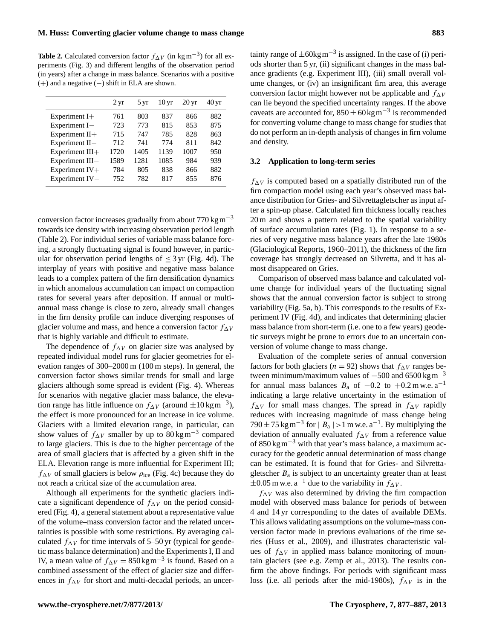<span id="page-6-0"></span>**Table 2.** Calculated conversion factor  $f_{\Delta V}$  (in kg m<sup>-3</sup>) for all experiments (Fig. [3\)](#page-4-0) and different lengths of the observation period (in years) after a change in mass balance. Scenarios with a positive (+) and a negative (−) shift in ELA are shown.

|                 | $2 \,\mathrm{yr}$ | 5 yr | 10 <sub>yr</sub> | $20 \,\mathrm{yr}$ | 40 yr |
|-----------------|-------------------|------|------------------|--------------------|-------|
| Experiment $I+$ | 761               | 803  | 837              | 866                | 882   |
| Experiment I-   | 723               | 773  | 815              | 853                | 875   |
| Experiment II+  | 715               | 747  | 785              | 828                | 863   |
| Experiment II-  | 712               | 741  | 774              | 811                | 842   |
| Experiment III+ | 1720              | 1405 | 1139             | 1007               | 950   |
| Experiment III- | 1589              | 1281 | 1085             | 984                | 939   |
| Experiment IV+  | 784               | 805  | 838              | 866                | 882   |
| Experiment IV-  | 752               | 782  | 817              | 855                | 876   |
|                 |                   |      |                  |                    |       |

conversion factor increases gradually from about  $770 \text{ kg m}^{-3}$ towards ice density with increasing observation period length (Table [2\)](#page-6-0). For individual series of variable mass balance forcing, a strongly fluctuating signal is found however, in particular for observation period lengths of  $\leq$  3 yr (Fig. [4d](#page-5-0)). The interplay of years with positive and negative mass balance leads to a complex pattern of the firn densification dynamics in which anomalous accumulation can impact on compaction rates for several years after deposition. If annual or multiannual mass change is close to zero, already small changes in the firn density profile can induce diverging responses of glacier volume and mass, and hence a conversion factor  $f_{\Delta V}$ that is highly variable and difficult to estimate.

The dependence of  $f_{\Delta V}$  on glacier size was analysed by repeated individual model runs for glacier geometries for elevation ranges of 300–2000 m (100 m steps). In general, the conversion factor shows similar trends for small and large glaciers although some spread is evident (Fig. [4\)](#page-5-0). Whereas for scenarios with negative glacier mass balance, the elevation range has little influence on  $f_{\Delta V}$  (around  $\pm 10 \text{ kg m}^{-3}$ ), the effect is more pronounced for an increase in ice volume. Glaciers with a limited elevation range, in particular, can show values of  $f_{\Delta V}$  smaller by up to 80 kgm<sup>-3</sup> compared to large glaciers. This is due to the higher percentage of the area of small glaciers that is affected by a given shift in the ELA. Elevation range is more influential for Experiment III;  $f_{\Delta V}$  of small glaciers is below  $\rho_{\text{ice}}$  (Fig. [4c](#page-5-0)) because they do not reach a critical size of the accumulation area.

Although all experiments for the synthetic glaciers indicate a significant dependence of  $f_{\Delta V}$  on the period considered (Fig. [4\)](#page-5-0), a general statement about a representative value of the volume–mass conversion factor and the related uncertainties is possible with some restrictions. By averaging calculated  $f_{\Delta V}$  for time intervals of 5–50 yr (typical for geodetic mass balance determination) and the Experiments I, II and IV, a mean value of  $f_{\Delta V} = 850 \text{kg m}^{-3}$  is found. Based on a combined assessment of the effect of glacier size and differences in  $f_{\Delta V}$  for short and multi-decadal periods, an uncer-

tainty range of  $\pm 60$ kg m<sup>-3</sup> is assigned. In the case of (i) periods shorter than 5 yr, (ii) significant changes in the mass balance gradients (e.g. Experiment III), (iii) small overall volume changes, or (iv) an insignificant firn area, this average conversion factor might however not be applicable and  $f_{\Delta V}$ can lie beyond the specified uncertainty ranges. If the above caveats are accounted for,  $850 \pm 60$  kg m<sup>-3</sup> is recommended for converting volume change to mass change for studies that do not perform an in-depth analysis of changes in firn volume and density.

#### **3.2 Application to long-term series**

 $f_{\Delta V}$  is computed based on a spatially distributed run of the firn compaction model using each year's observed mass balance distribution for Gries- and Silvrettagletscher as input after a spin-up phase. Calculated firn thickness locally reaches 20 m and shows a pattern related to the spatial variability of surface accumulation rates (Fig. [1\)](#page-2-0). In response to a series of very negative mass balance years after the late 1980s [\(Glaciological Reports,](#page-9-12) [1960–2011\)](#page-9-12), the thickness of the firn coverage has strongly decreased on Silvretta, and it has almost disappeared on Gries.

Comparison of observed mass balance and calculated volume change for individual years of the fluctuating signal shows that the annual conversion factor is subject to strong variability (Fig. [5a](#page-7-0), b). This corresponds to the results of Experiment IV (Fig. [4d](#page-5-0)), and indicates that determining glacier mass balance from short-term (i.e. one to a few years) geodetic surveys might be prone to errors due to an uncertain conversion of volume change to mass change.

Evaluation of the complete series of annual conversion factors for both glaciers ( $n = 92$ ) shows that  $f_{\Delta V}$  ranges between minimum/maximum values of  $-500$  and 6500 kg m<sup>-3</sup> for annual mass balances  $B_a$  of  $-0.2$  to  $+0.2$  m w.e. a<sup>-1</sup> indicating a large relative uncertainty in the estimation of  $f_{\Delta V}$  for small mass changes. The spread in  $f_{\Delta V}$  rapidly reduces with increasing magnitude of mass change being 790 ± 75 kg m<sup>-3</sup> for |  $B_a$  | > 1 m w.e. a<sup>-1</sup>. By multiplying the deviation of annually evaluated  $f_{\Delta V}$  from a reference value of  $850 \text{ kg m}^{-3}$  with that year's mass balance, a maximum accuracy for the geodetic annual determination of mass change can be estimated. It is found that for Gries- and Silvrettagletscher  $B_a$  is subject to an uncertainty greater than at least  $\pm 0.05$  m w.e. a<sup>-1</sup> due to the variability in  $f_{\Delta V}$ .

 $f_{\Delta V}$  was also determined by driving the firn compaction model with observed mass balance for periods of between 4 and 14 yr corresponding to the dates of available DEMs. This allows validating assumptions on the volume–mass conversion factor made in previous evaluations of the time series [\(Huss et al.,](#page-10-4) [2009\)](#page-10-4), and illustrates characteristic values of  $f_{\Delta V}$  in applied mass balance monitoring of mountain glaciers (see e.g. [Zemp et al.,](#page-10-6) [2013\)](#page-10-6). The results confirm the above findings. For periods with significant mass loss (i.e. all periods after the mid-1980s),  $f_{\Delta V}$  is in the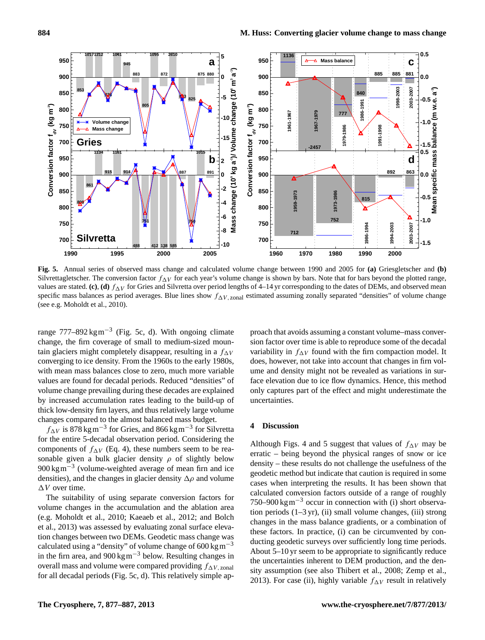

<span id="page-7-0"></span>**Fig. 5.** Annual series of observed mass change and calculated volume change between 1990 and 2005 for **(a)** Griesgletscher and **(b)** Silvrettagletscher. The conversion factor  $f_{\Delta V}$  for each year's volume change is shown by bars. Note that for bars beyond the plotted range, values are stated. (c), (d)  $f_{\Delta V}$  for Gries and Silvretta over period lengths of 4–14 yr corresponding to the dates of DEMs, and observed mean specific mass balances as period averages. Blue lines show  $f_{\Delta V, zonal}$  estimated assuming zonally separated "densities" of volume change (see e.g. [Moholdt et al.,](#page-10-8) [2010\)](#page-10-8).

range  $777-892 \text{ kg m}^{-3}$  (Fig. [5c](#page-7-0), d). With ongoing climate change, the firn coverage of small to medium-sized mountain glaciers might completely disappear, resulting in a  $f_{\Delta V}$ converging to ice density. From the 1960s to the early 1980s, with mean mass balances close to zero, much more variable values are found for decadal periods. Reduced "densities" of volume change prevailing during these decades are explained by increased accumulation rates leading to the build-up of thick low-density firn layers, and thus relatively large volume changes compared to the almost balanced mass budget.

 $f_{\Delta V}$  is 878 kg m<sup>-3</sup> for Gries, and 866 kg m<sup>-3</sup> for Silvretta for the entire 5-decadal observation period. Considering the components of  $f_{\Delta V}$  (Eq. [4\)](#page-0-3), these numbers seem to be reasonable given a bulk glacier density  $\rho$  of slightly below 900 kg m<sup>-3</sup> (volume-weighted average of mean firn and ice densities), and the changes in glacier density  $\Delta \rho$  and volume  $\Delta V$  over time.

The suitability of using separate conversion factors for volume changes in the accumulation and the ablation area (e.g. [Moholdt et al.,](#page-10-8) [2010;](#page-10-8) [Kaeaeb et al.,](#page-10-9) [2012;](#page-10-9) and [Bolch](#page-9-8) [et al.,](#page-9-8) [2013\)](#page-9-8) was assessed by evaluating zonal surface elevation changes between two DEMs. Geodetic mass change was calculated using a "density" of volume change of  $600 \text{ kg m}^{-3}$ in the firn area, and  $900 \text{ kg m}^{-3}$  below. Resulting changes in overall mass and volume were compared providing  $f_{\Delta V, zonal}$ for all decadal periods (Fig. [5c](#page-7-0), d). This relatively simple ap-

proach that avoids assuming a constant volume–mass conversion factor over time is able to reproduce some of the decadal variability in  $f_{\Delta V}$  found with the firn compaction model. It does, however, not take into account that changes in firn volume and density might not be revealed as variations in surface elevation due to ice flow dynamics. Hence, this method only captures part of the effect and might underestimate the uncertainties.

## **4 Discussion**

Although Figs. [4](#page-5-0) and [5](#page-7-0) suggest that values of  $f_{\Delta V}$  may be erratic – being beyond the physical ranges of snow or ice density – these results do not challenge the usefulness of the geodetic method but indicate that caution is required in some cases when interpreting the results. It has been shown that calculated conversion factors outside of a range of roughly 750–900 kg m<sup>-3</sup> occur in connection with (i) short observation periods  $(1-3 \text{ yr})$ , (ii) small volume changes, (iii) strong changes in the mass balance gradients, or a combination of these factors. In practice, (i) can be circumvented by conducting geodetic surveys over sufficiently long time periods. About 5–10 yr seem to be appropriate to significantly reduce the uncertainties inherent to DEM production, and the density assumption (see also [Thibert et al.,](#page-10-21) [2008;](#page-10-21) [Zemp et al.,](#page-10-6) [2013\)](#page-10-6). For case (ii), highly variable  $f_{\Delta V}$  result in relatively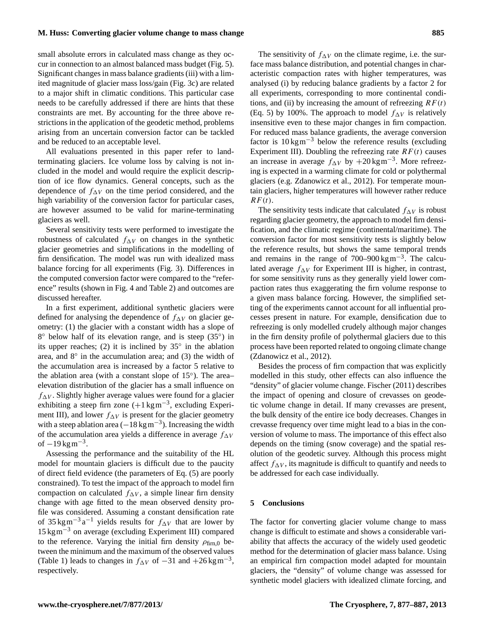# **M. Huss: Converting glacier volume change to mass change 885**

small absolute errors in calculated mass change as they occur in connection to an almost balanced mass budget (Fig. [5\)](#page-7-0). Significant changes in mass balance gradients (iii) with a limited magnitude of glacier mass loss/gain (Fig. [3c](#page-4-0)) are related to a major shift in climatic conditions. This particular case needs to be carefully addressed if there are hints that these constraints are met. By accounting for the three above restrictions in the application of the geodetic method, problems arising from an uncertain conversion factor can be tackled and be reduced to an acceptable level.

All evaluations presented in this paper refer to landterminating glaciers. Ice volume loss by calving is not included in the model and would require the explicit description of ice flow dynamics. General concepts, such as the dependence of  $f_{\Delta V}$  on the time period considered, and the high variability of the conversion factor for particular cases, are however assumed to be valid for marine-terminating glaciers as well.

Several sensitivity tests were performed to investigate the robustness of calculated  $f_{\Delta V}$  on changes in the synthetic glacier geometries and simplifications in the modelling of firn densification. The model was run with idealized mass balance forcing for all experiments (Fig. [3\)](#page-4-0). Differences in the computed conversion factor were compared to the "reference" results (shown in Fig. [4](#page-5-0) and Table [2\)](#page-6-0) and outcomes are discussed hereafter.

In a first experiment, additional synthetic glaciers were defined for analysing the dependence of  $f_{\Delta V}$  on glacier geometry: (1) the glacier with a constant width has a slope of 8° below half of its elevation range, and is steep (35°) in its upper reaches; (2) it is inclined by 35◦ in the ablation area, and 8◦ in the accumulation area; and (3) the width of the accumulation area is increased by a factor 5 relative to the ablation area (with a constant slope of 15°). The areaelevation distribution of the glacier has a small influence on  $f_{\Delta V}$ . Slightly higher average values were found for a glacier exhibiting a steep firn zone  $(+1 \text{ kg m}^{-3})$ , excluding Experiment III), and lower  $f_{\Delta V}$  is present for the glacier geometry with a steep ablation area  $(-18 \text{ kg m}^{-3})$ . Increasing the width of the accumulation area yields a difference in average  $f_{\Delta V}$ of  $-19$  kg m<sup>-3</sup>.

Assessing the performance and the suitability of the HL model for mountain glaciers is difficult due to the paucity of direct field evidence (the parameters of Eq. [\(5\)](#page-2-2) are poorly constrained). To test the impact of the approach to model firn compaction on calculated  $f_{\Delta V}$ , a simple linear firn density change with age fitted to the mean observed density profile was considered. Assuming a constant densification rate of 35 kgm<sup>-3</sup> a<sup>-1</sup> yields results for  $f_{\Delta V}$  that are lower by 15 kgm−<sup>3</sup> on average (excluding Experiment III) compared to the reference. Varying the initial firn density  $\rho_{\text{firm.0}}$  between the minimum and the maximum of the observed values (Table [1\)](#page-2-1) leads to changes in  $f_{\Delta V}$  of  $-31$  and  $+26$  kgm<sup>-3</sup>, respectively.

The sensitivity of  $f_{\Delta V}$  on the climate regime, i.e. the surface mass balance distribution, and potential changes in characteristic compaction rates with higher temperatures, was analysed (i) by reducing balance gradients by a factor 2 for all experiments, corresponding to more continental conditions, and (ii) by increasing the amount of refreezing  $RF(t)$ (Eq. [5\)](#page-2-2) by 100%. The approach to model  $f_{\Delta V}$  is relatively insensitive even to these major changes in firn compaction. For reduced mass balance gradients, the average conversion factor is  $10 \text{ kg m}^{-3}$  below the reference results (excluding Experiment III). Doubling the refreezing rate  $RF(t)$  causes an increase in average  $f_{\Delta V}$  by +20 kgm<sup>-3</sup>. More refreezing is expected in a warming climate for cold or polythermal glaciers (e.g. [Zdanowicz et al.,](#page-10-22) [2012\)](#page-10-22). For temperate mountain glaciers, higher temperatures will however rather reduce  $RF(t).$ 

The sensitivity tests indicate that calculated  $f_{\Delta V}$  is robust regarding glacier geometry, the approach to model firn densification, and the climatic regime (continental/maritime). The conversion factor for most sensitivity tests is slightly below the reference results, but shows the same temporal trends and remains in the range of  $700-900 \text{ kg m}^{-3}$ . The calculated average  $f_{\Delta V}$  for Experiment III is higher, in contrast, for some sensitivity runs as they generally yield lower compaction rates thus exaggerating the firn volume response to a given mass balance forcing. However, the simplified setting of the experiments cannot account for all influential processes present in nature. For example, densification due to refreezing is only modelled crudely although major changes in the firn density profile of polythermal glaciers due to this process have been reported related to ongoing climate change [\(Zdanowicz et al.,](#page-10-22) [2012\)](#page-10-22).

Besides the process of firn compaction that was explicitly modelled in this study, other effects can also influence the "density" of glacier volume change. [Fischer](#page-9-7) [\(2011\)](#page-9-7) describes the impact of opening and closure of crevasses on geodetic volume change in detail. If many crevasses are present, the bulk density of the entire ice body decreases. Changes in crevasse frequency over time might lead to a bias in the conversion of volume to mass. The importance of this effect also depends on the timing (snow coverage) and the spatial resolution of the geodetic survey. Although this process might affect  $f_{\Delta V}$ , its magnitude is difficult to quantify and needs to be addressed for each case individually.

#### **5 Conclusions**

The factor for converting glacier volume change to mass change is difficult to estimate and shows a considerable variability that affects the accuracy of the widely used geodetic method for the determination of glacier mass balance. Using an empirical firn compaction model adapted for mountain glaciers, the "density" of volume change was assessed for synthetic model glaciers with idealized climate forcing, and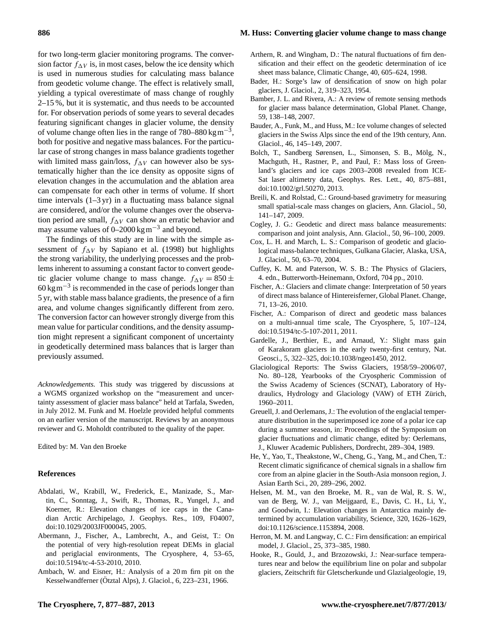# **886 M. Huss: Converting glacier volume change to mass change**

glaciers, J. Glaciol., 2, 319–323, 1954.

59, 138–148, 2007.

141–147, 2009.

71, 13–26, 2010.

Glaciol., 46, 145–149, 2007.

[doi:10.1002/grl.50270,](http://dx.doi.org/10.1002/grl.50270) 2013.

J. Glaciol., 50, 63–70, 2004.

doi[:10.5194/tc-5-107-2011,](http://dx.doi.org/10.5194/tc-5-107-2011) 2011.

<span id="page-9-14"></span>Arthern, R. and Wingham, D.: The natural fluctuations of firn densification and their effect on the geodetic determination of ice sheet mass balance, Climatic Change, 40, 605–624, 1998. Bader, H.: Sorge's law of densification of snow on high polar

<span id="page-9-3"></span><span id="page-9-0"></span>Bamber, J. L. and Rivera, A.: A review of remote sensing methods for glacier mass balance determination, Global Planet. Change,

<span id="page-9-5"></span>Bauder, A., Funk, M., and Huss, M.: Ice volume changes of selected glaciers in the Swiss Alps since the end of the 19th century, Ann.

<span id="page-9-8"></span>Bolch, T., Sandberg Sørensen, L., Simonsen, S. B., Mölg, N., Machguth, H., Rastner, P., and Paul, F.: Mass loss of Greenland's glaciers and ice caps 2003–2008 revealed from ICE-Sat laser altimetry data, Geophys. Res. Lett., 40, 875–881,

<span id="page-9-11"></span>Breili, K. and Rolstad, C.: Ground-based gravimetry for measuring small spatial-scale mass changes on glaciers, Ann. Glaciol., 50,

<span id="page-9-4"></span><span id="page-9-1"></span>Cogley, J. G.: Geodetic and direct mass balance measurements: comparison and joint analysis, Ann. Glaciol., 50, 96–100, 2009. Cox, L. H. and March, L. S.: Comparison of geodetic and glaciological mass-balance techniques, Gulkana Glacier, Alaska, USA,

<span id="page-9-15"></span><span id="page-9-6"></span>Cuffey, K. M. and Paterson, W. S. B.: The Physics of Glaciers, 4. edn., Butterworth-Heinemann, Oxford, 704 pp., 2010. Fischer, A.: Glaciers and climate change: Interpretation of 50 years of direct mass balance of Hintereisferner, Global Planet. Change,

<span id="page-9-7"></span>Fischer, A.: Comparison of direct and geodetic mass balances on a multi-annual time scale, The Cryosphere, 5, 107–124,

<span id="page-9-17"></span><span id="page-9-12"></span><span id="page-9-9"></span><span id="page-9-2"></span>Gardelle, J., Berthier, E., and Arnaud, Y.: Slight mass gain of Karakoram glaciers in the early twenty-first century, Nat.

for two long-term glacier monitoring programs. The conversion factor  $f_{\Delta V}$  is, in most cases, below the ice density which is used in numerous studies for calculating mass balance from geodetic volume change. The effect is relatively small, yielding a typical overestimate of mass change of roughly 2–15 %, but it is systematic, and thus needs to be accounted for. For observation periods of some years to several decades featuring significant changes in glacier volume, the density of volume change often lies in the range of  $780-880 \,\mathrm{kg \, m^{-3}}$ , both for positive and negative mass balances. For the particular case of strong changes in mass balance gradients together with limited mass gain/loss,  $f_{\Delta V}$  can however also be systematically higher than the ice density as opposite signs of elevation changes in the accumulation and the ablation area can compensate for each other in terms of volume. If short time intervals  $(1-3 \text{ yr})$  in a fluctuating mass balance signal are considered, and/or the volume changes over the observation period are small,  $f_{\Delta V}$  can show an erratic behavior and may assume values of 0–2000 kgm−<sup>3</sup> and beyond.

The findings of this study are in line with the simple assessment of  $f_{\Delta V}$  by [Sapiano et al.](#page-10-3) [\(1998\)](#page-10-3) but highlights the strong variability, the underlying processes and the problems inherent to assuming a constant factor to convert geodetic glacier volume change to mass change.  $f_{\Delta V} = 850 \pm$  $60 \text{ kg m}^{-3}$  is recommended in the case of periods longer than 5 yr, with stable mass balance gradients, the presence of a firn area, and volume changes significantly different from zero. The conversion factor can however strongly diverge from this mean value for particular conditions, and the density assumption might represent a significant component of uncertainty in geodetically determined mass balances that is larger than previously assumed.

*Acknowledgements.* This study was triggered by discussions at a WGMS organized workshop on the "measurement and uncertainty assessment of glacier mass balance" held at Tarfala, Sweden, in July 2012. M. Funk and M. Hoelzle provided helpful comments on an earlier version of the manuscript. Reviews by an anonymous reviewer and G. Moholdt contributed to the quality of the paper.

Edited by: M. Van den Broeke

### **References**

- <span id="page-9-19"></span>Abdalati, W., Krabill, W., Frederick, E., Manizade, S., Martin, C., Sonntag, J., Swift, R., Thomas, R., Yungel, J., and Koerner, R.: Elevation changes of ice caps in the Canadian Arctic Archipelago, J. Geophys. Res., 109, F04007, doi[:10.1029/2003JF000045,](http://dx.doi.org/10.1029/2003JF000045) 2005.
- <span id="page-9-16"></span><span id="page-9-10"></span>Abermann, J., Fischer, A., Lambrecht, A., and Geist, T.: On the potential of very high-resolution repeat DEMs in glacial and periglacial environments, The Cryosphere, 4, 53–65, doi[:10.5194/tc-4-53-2010,](http://dx.doi.org/10.5194/tc-4-53-2010) 2010.
- <span id="page-9-18"></span>Ambach, W. and Eisner, H.: Analysis of a 20 m firn pit on the Kesselwandferner (Ötztal Alps), J. Glaciol., 6, 223–231, 1966.
- <span id="page-9-13"></span>Geosci., 5, 322–325, doi[:10.1038/ngeo1450,](http://dx.doi.org/10.1038/ngeo1450) 2012.
	- Glaciological Reports: The Swiss Glaciers, 1958/59–2006/07, No. 80–128, Yearbooks of the Cryospheric Commission of the Swiss Academy of Sciences (SCNAT), Laboratory of Hydraulics, Hydrology and Glaciology (VAW) of ETH Zürich, 1960–2011.
	- Greuell, J. and Oerlemans, J.: The evolution of the englacial temperature distribution in the superimposed ice zone of a polar ice cap during a summer season, in: Proceedings of the Symposium on glacier fluctuations and climatic change, edited by: Oerlemans, J., Kluwer Academic Publishers, Dordrecht, 289–304, 1989.
	- He, Y., Yao, T., Theakstone, W., Cheng, G., Yang, M., and Chen, T.: Recent climatic significance of chemical signals in a shallow firn core from an alpine glacier in the South-Asia monsoon region, J. Asian Earth Sci., 20, 289–296, 2002.
	- Helsen, M. M., van den Broeke, M. R., van de Wal, R. S. W., van de Berg, W. J., van Meijgaard, E., Davis, C. H., Li, Y., and Goodwin, I.: Elevation changes in Antarctica mainly determined by accumulation variability, Science, 320, 1626–1629, doi[:10.1126/science.1153894,](http://dx.doi.org/10.1126/science.1153894) 2008.
	- Herron, M. M. and Langway, C. C.: Firn densification: an empirical model, J. Glaciol., 25, 373–385, 1980.
	- Hooke, R., Gould, J., and Brzozowski, J.: Near-surface temperatures near and below the equilibrium line on polar and subpolar glaciers, Zeitschrift für Gletscherkunde und Glazialgeologie, 19,